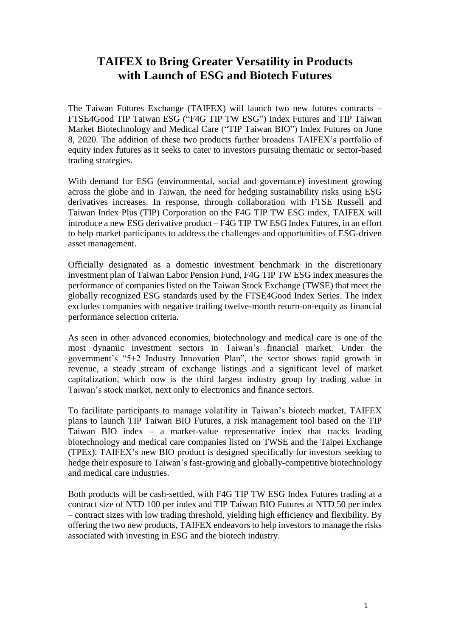## **TAIFEX to Bring Greater Versatility in Products with Launch of ESG and Biotech Futures**

The Taiwan Futures Exchange (TAIFEX) will launch two new futures contracts – FTSE4Good TIP Taiwan ESG ("F4G TIP TW ESG") Index Futures and TIP Taiwan Market Biotechnology and Medical Care ("TIP Taiwan BIO") Index Futures on June 8, 2020. The addition of these two products further broadens TAIFEX's portfolio of equity index futures as it seeks to cater to investors pursuing thematic or sector-based trading strategies.

With demand for ESG (environmental, social and governance) investment growing across the globe and in Taiwan, the need for hedging sustainability risks using ESG derivatives increases. In response, through collaboration with FTSE Russell and Taiwan Index Plus (TIP) Corporation on the F4G TIP TW ESG index, TAIFEX will introduce a new ESG derivative product – F4G TIP TW ESG Index Futures, in an effort to help market participants to address the challenges and opportunities of ESG-driven asset management.

Officially designated as a domestic investment benchmark in the discretionary investment plan of Taiwan Labor Pension Fund, F4G TIP TW ESG index measures the performance of companies listed on the Taiwan Stock Exchange (TWSE) that meet the globally recognized ESG standards used by the FTSE4Good Index Series. The index excludes companies with negative trailing twelve-month return-on-equity as financial performance selection criteria.

As seen in other advanced economies, biotechnology and medical care is one of the most dynamic investment sectors in Taiwan's financial market. Under the government's "5+2 Industry Innovation Plan", the sector shows rapid growth in revenue, a steady stream of exchange listings and a significant level of market capitalization, which now is the third largest industry group by trading value in Taiwan's stock market, next only to electronics and finance sectors.

To facilitate participants to manage volatility in Taiwan's biotech market, TAIFEX plans to launch TIP Taiwan BIO Futures, a risk management tool based on the TIP Taiwan BIO index – a market-value representative index that tracks leading biotechnology and medical care companies listed on TWSE and the Taipei Exchange (TPEx). TAIFEX's new BIO product is designed specifically for investors seeking to hedge their exposure to Taiwan's fast-growing and globally-competitive biotechnology and medical care industries.

Both products will be cash-settled, with F4G TIP TW ESG Index Futures trading at a contract size of NTD 100 per index and TIP Taiwan BIO Futures at NTD 50 per index – contract sizes with low trading threshold, yielding high efficiency and flexibility. By offering the two new products, TAIFEX endeavors to help investors to manage the risks associated with investing in ESG and the biotech industry.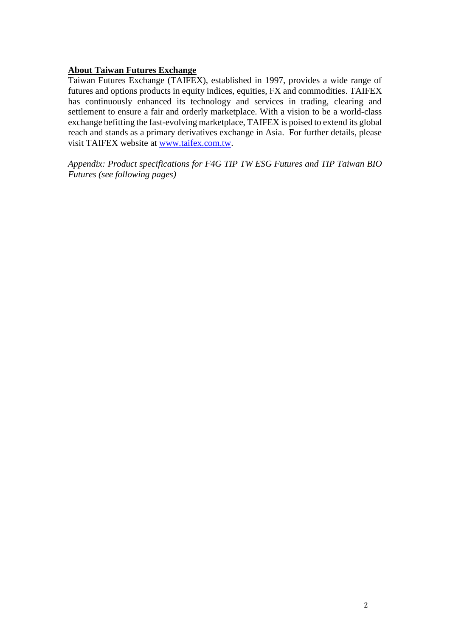## **About Taiwan Futures Exchange**

Taiwan Futures Exchange (TAIFEX), established in 1997, provides a wide range of futures and options products in equity indices, equities, FX and commodities. TAIFEX has continuously enhanced its technology and services in trading, clearing and settlement to ensure a fair and orderly marketplace. With a vision to be a world-class exchange befitting the fast-evolving marketplace, TAIFEX is poised to extend its global reach and stands as a primary derivatives exchange in Asia. For further details, please visit TAIFEX website at [www.taifex.com.tw.](http://www.taifex.com.tw/)

*Appendix: Product specifications for F4G TIP TW ESG Futures and TIP Taiwan BIO Futures (see following pages)*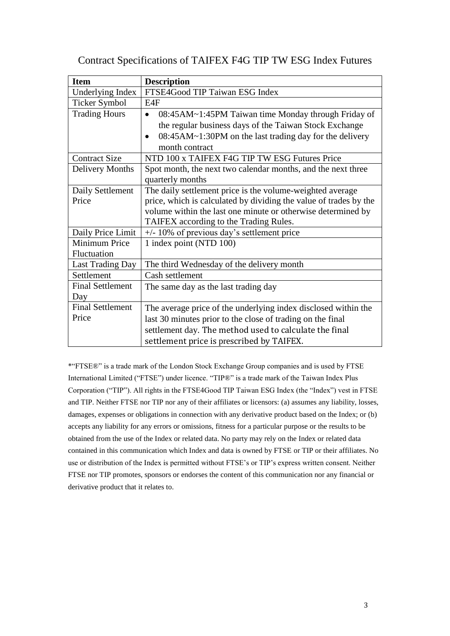| <b>Item</b>             | <b>Description</b>                                                   |
|-------------------------|----------------------------------------------------------------------|
| Underlying Index        | FTSE4Good TIP Taiwan ESG Index                                       |
| <b>Ticker Symbol</b>    | E4F                                                                  |
| <b>Trading Hours</b>    | 08:45AM~1:45PM Taiwan time Monday through Friday of<br>$\bullet$     |
|                         | the regular business days of the Taiwan Stock Exchange               |
|                         | 08:45AM~1:30PM on the last trading day for the delivery<br>$\bullet$ |
|                         | month contract                                                       |
| <b>Contract Size</b>    | NTD 100 x TAIFEX F4G TIP TW ESG Futures Price                        |
| Delivery Months         | Spot month, the next two calendar months, and the next three         |
|                         | quarterly months                                                     |
| Daily Settlement        | The daily settlement price is the volume-weighted average            |
| Price                   | price, which is calculated by dividing the value of trades by the    |
|                         | volume within the last one minute or otherwise determined by         |
|                         | TAIFEX according to the Trading Rules.                               |
| Daily Price Limit       | $+/- 10\%$ of previous day's settlement price                        |
| Minimum Price           | 1 index point (NTD 100)                                              |
| Fluctuation             |                                                                      |
| <b>Last Trading Day</b> | The third Wednesday of the delivery month                            |
| Settlement              | Cash settlement                                                      |
| <b>Final Settlement</b> | The same day as the last trading day                                 |
| Day                     |                                                                      |
| <b>Final Settlement</b> | The average price of the underlying index disclosed within the       |
| Price                   | last 30 minutes prior to the close of trading on the final           |
|                         | settlement day. The method used to calculate the final               |
|                         | settlement price is prescribed by TAIFEX.                            |

Contract Specifications of TAIFEX F4G TIP TW ESG Index Futures

\*"FTSE®" is a trade mark of the London Stock Exchange Group companies and is used by FTSE International Limited ("FTSE") under licence. "TIP®" is a trade mark of the Taiwan Index Plus Corporation ("TIP"). All rights in the FTSE4Good TIP Taiwan ESG Index (the "Index") vest in FTSE and TIP. Neither FTSE nor TIP nor any of their affiliates or licensors: (a) assumes any liability, losses, damages, expenses or obligations in connection with any derivative product based on the Index; or (b) accepts any liability for any errors or omissions, fitness for a particular purpose or the results to be obtained from the use of the Index or related data. No party may rely on the Index or related data contained in this communication which Index and data is owned by FTSE or TIP or their affiliates. No use or distribution of the Index is permitted without FTSE's or TIP's express written consent. Neither FTSE nor TIP promotes, sponsors or endorses the content of this communication nor any financial or derivative product that it relates to.